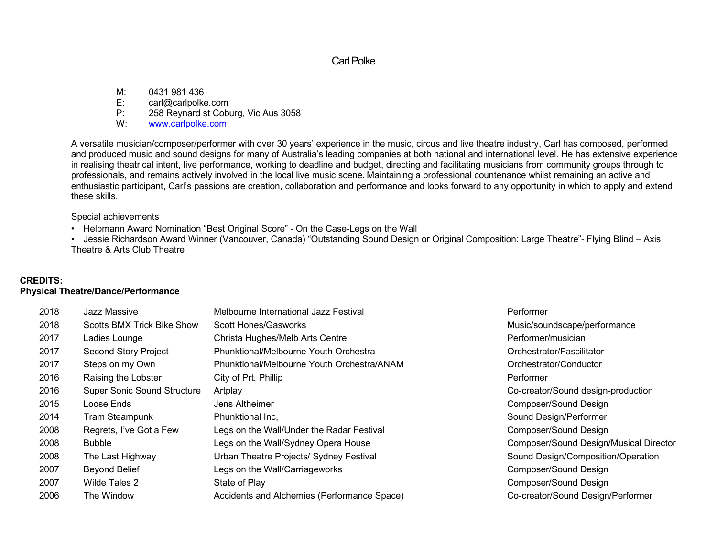# Carl Polke

M: 0431 981 436

E: carl@carlpolke.com

P: 258 Reynard st Coburg, Vic Aus 3058

W: www.carlpolke.com

A versatile musician/composer/performer with over 30 years' experience in the music, circus and live theatre industry, Carl has composed, performed and produced music and sound designs for many of Australia's leading companies at both national and international level. He has extensive experience in realising theatrical intent, live performance, working to deadline and budget, directing and facilitating musicians from community groups through to professionals, and remains actively involved in the local live music scene. Maintaining a professional countenance whilst remaining an active and enthusiastic participant, Carl's passions are creation, collaboration and performance and looks forward to any opportunity in which to apply and extend these skills.

Special achievements

• Helpmann Award Nomination "Best Original Score" - On the Case-Legs on the Wall

• Jessie Richardson Award Winner (Vancouver, Canada) "Outstanding Sound Design or Original Composition: Large Theatre"- Flying Blind – Axis Theatre & Arts Club Theatre

# **CREDITS:**

## **Physical Theatre/Dance/Performance**

| 2018 | Jazz Massive                       | Melbourne International Jazz Festival       | Performer                              |
|------|------------------------------------|---------------------------------------------|----------------------------------------|
| 2018 | <b>Scotts BMX Trick Bike Show</b>  | <b>Scott Hones/Gasworks</b>                 | Music/soundscape/performance           |
| 2017 | Ladies Lounge                      | Christa Hughes/Melb Arts Centre             | Performer/musician                     |
| 2017 | <b>Second Story Project</b>        | Phunktional/Melbourne Youth Orchestra       | Orchestrator/Fascilitator              |
| 2017 | Steps on my Own                    | Phunktional/Melbourne Youth Orchestra/ANAM  | Orchestrator/Conductor                 |
| 2016 | Raising the Lobster                | City of Prt. Phillip                        | Performer                              |
| 2016 | <b>Super Sonic Sound Structure</b> | Artplay                                     | Co-creator/Sound design-production     |
| 2015 | Loose Ends                         | Jens Altheimer                              | Composer/Sound Design                  |
| 2014 | Tram Steampunk                     | Phunktional Inc,                            | Sound Design/Performer                 |
| 2008 | Regrets, I've Got a Few            | Legs on the Wall/Under the Radar Festival   | Composer/Sound Design                  |
| 2008 | <b>Bubble</b>                      | Legs on the Wall/Sydney Opera House         | Composer/Sound Design/Musical Director |
| 2008 | The Last Highway                   | Urban Theatre Projects/ Sydney Festival     | Sound Design/Composition/Operation     |
| 2007 | <b>Beyond Belief</b>               | Legs on the Wall/Carriageworks              | <b>Composer/Sound Design</b>           |
| 2007 | Wilde Tales 2                      | State of Play                               | Composer/Sound Design                  |
| 2006 | The Window                         | Accidents and Alchemies (Performance Space) | Co-creator/Sound Design/Performer      |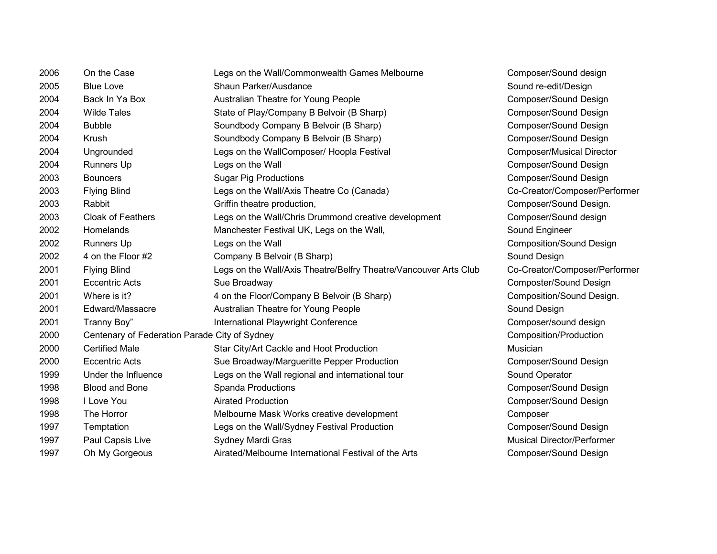| 2006 | On the Case                                   | Legs on the Wall/Commonwealth Games Melbourne                    | Composer          |
|------|-----------------------------------------------|------------------------------------------------------------------|-------------------|
| 2005 | <b>Blue Love</b>                              | Shaun Parker/Ausdance                                            | Sound re-         |
| 2004 | Back In Ya Box                                | Australian Theatre for Young People                              | Composer          |
| 2004 | <b>Wilde Tales</b>                            | State of Play/Company B Belvoir (B Sharp)                        | Composer          |
| 2004 | <b>Bubble</b>                                 | Soundbody Company B Belvoir (B Sharp)                            | Composer          |
| 2004 | Krush                                         | Soundbody Company B Belvoir (B Sharp)                            | Composer          |
| 2004 | Ungrounded                                    | Legs on the WallComposer/ Hoopla Festival                        | Composer          |
| 2004 | Runners Up                                    | Legs on the Wall                                                 | Composer          |
| 2003 | <b>Bouncers</b>                               | <b>Sugar Pig Productions</b>                                     | Composer          |
| 2003 | <b>Flying Blind</b>                           | Legs on the Wall/Axis Theatre Co (Canada)                        | Co-Creato         |
| 2003 | Rabbit                                        | Griffin theatre production,                                      | Composer          |
| 2003 | <b>Cloak of Feathers</b>                      | Legs on the Wall/Chris Drummond creative development             | Composer          |
| 2002 | Homelands                                     | Manchester Festival UK, Legs on the Wall,                        | Sound Eng         |
| 2002 | Runners Up                                    | Legs on the Wall                                                 | Compositi         |
| 2002 | 4 on the Floor #2                             | Company B Belvoir (B Sharp)                                      | Sound De          |
| 2001 | <b>Flying Blind</b>                           | Legs on the Wall/Axis Theatre/Belfry Theatre/Vancouver Arts Club | Co-Creato         |
| 2001 | <b>Eccentric Acts</b>                         | Sue Broadway                                                     | Composte          |
| 2001 | Where is it?                                  | 4 on the Floor/Company B Belvoir (B Sharp)                       | Compositi         |
| 2001 | Edward/Massacre                               | Australian Theatre for Young People                              | Sound De          |
| 2001 | Tranny Boy"                                   | International Playwright Conference                              | Composer          |
| 2000 | Centenary of Federation Parade City of Sydney |                                                                  | Compositi         |
| 2000 | <b>Certified Male</b>                         | Star City/Art Cackle and Hoot Production                         | Musician          |
| 2000 | <b>Eccentric Acts</b>                         | Sue Broadway/Margueritte Pepper Production                       | Composer          |
| 1999 | Under the Influence                           | Legs on the Wall regional and international tour                 | Sound Op          |
| 1998 | <b>Blood and Bone</b>                         | Spanda Productions                                               | Composer          |
| 1998 | I Love You                                    | <b>Airated Production</b>                                        | Composer          |
| 1998 | The Horror                                    | Melbourne Mask Works creative development                        | Composer          |
| 1997 | Temptation                                    | Legs on the Wall/Sydney Festival Production                      | Composer          |
| 1997 | Paul Capsis Live                              | Sydney Mardi Gras                                                | <b>Musical Di</b> |
| 1997 | Oh My Gorgeous                                | Airated/Melbourne International Festival of the Arts             | Composer          |

Composer/Sound design Sound re-edit/Design **2004 Back Power**<br>Composer/Sound Design Composer/Sound Design Composer/Sound Design Composer/Sound Design Composer/Musical Director Composer/Sound Design Composer/Sound Design Co-Creator/Composer/Performer Composer/Sound Design. Composer/Sound design Sound Engineer Composition/Sound Design Sound Design Co-Creator/Composer/Performer Composter/Sound Design Composition/Sound Design. Sound Design Composer/sound design **Composition/Production** Composer/Sound Design Sound Operator Composer/Sound Design Composer/Sound Design Composer/Sound Design Musical Director/Performer Composer/Sound Design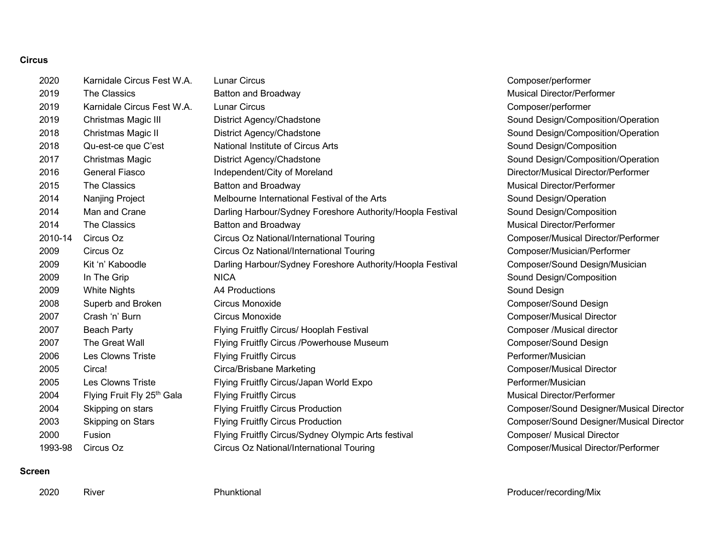### **Circus**

| 2020    | Karnidale Circus Fest W.A. | <b>Lunar Circus</b>                                        | Composer/performer                       |
|---------|----------------------------|------------------------------------------------------------|------------------------------------------|
| 2019    | <b>The Classics</b>        | Batton and Broadway                                        | <b>Musical Director/Performer</b>        |
| 2019    | Karnidale Circus Fest W.A. | <b>Lunar Circus</b>                                        | Composer/performer                       |
| 2019    | Christmas Magic III        | District Agency/Chadstone                                  | Sound Design/Composition/Operation       |
| 2018    | Christmas Magic II         | District Agency/Chadstone                                  | Sound Design/Composition/Operation       |
| 2018    | Qu-est-ce que C'est        | National Institute of Circus Arts                          | Sound Design/Composition                 |
| 2017    | Christmas Magic            | District Agency/Chadstone                                  | Sound Design/Composition/Operation       |
| 2016    | <b>General Fiasco</b>      | Independent/City of Moreland                               | Director/Musical Director/Performer      |
| 2015    | <b>The Classics</b>        | <b>Batton and Broadway</b>                                 | <b>Musical Director/Performer</b>        |
| 2014    | Nanjing Project            | Melbourne International Festival of the Arts               | Sound Design/Operation                   |
| 2014    | Man and Crane              | Darling Harbour/Sydney Foreshore Authority/Hoopla Festival | Sound Design/Composition                 |
| 2014    | The Classics               | Batton and Broadway                                        | <b>Musical Director/Performer</b>        |
| 2010-14 | Circus Oz                  | Circus Oz National/International Touring                   | Composer/Musical Director/Performer      |
| 2009    | Circus Oz                  | Circus Oz National/International Touring                   | Composer/Musician/Performer              |
| 2009    | Kit 'n' Kaboodle           | Darling Harbour/Sydney Foreshore Authority/Hoopla Festival | Composer/Sound Design/Musician           |
| 2009    | In The Grip                | <b>NICA</b>                                                | Sound Design/Composition                 |
| 2009    | <b>White Nights</b>        | A4 Productions                                             | Sound Design                             |
| 2008    | Superb and Broken          | Circus Monoxide                                            | Composer/Sound Design                    |
| 2007    | Crash 'n' Burn             | Circus Monoxide                                            | <b>Composer/Musical Director</b>         |
| 2007    | <b>Beach Party</b>         | Flying Fruitfly Circus/ Hooplah Festival                   | Composer /Musical director               |
| 2007    | The Great Wall             | Flying Fruitfly Circus /Powerhouse Museum                  | Composer/Sound Design                    |
| 2006    | <b>Les Clowns Triste</b>   | <b>Flying Fruitfly Circus</b>                              | Performer/Musician                       |
| 2005    | Circa!                     | Circa/Brisbane Marketing                                   | <b>Composer/Musical Director</b>         |
| 2005    | Les Clowns Triste          | Flying Fruitfly Circus/Japan World Expo                    | Performer/Musician                       |
| 2004    | Flying Fruit Fly 25th Gala | <b>Flying Fruitfly Circus</b>                              | <b>Musical Director/Performer</b>        |
| 2004    | Skipping on stars          | <b>Flying Fruitfly Circus Production</b>                   | Composer/Sound Designer/Musical Director |
| 2003    | Skipping on Stars          | <b>Flying Fruitfly Circus Production</b>                   | Composer/Sound Designer/Musical Director |
| 2000    | Fusion                     | Flying Fruitfly Circus/Sydney Olympic Arts festival        | <b>Composer/ Musical Director</b>        |
| 1993-98 | Circus Oz                  | Circus Oz National/International Touring                   | Composer/Musical Director/Performer      |

### **Screen**

2020 River **River River Phunktional** Phunktional Producer/recording/Mix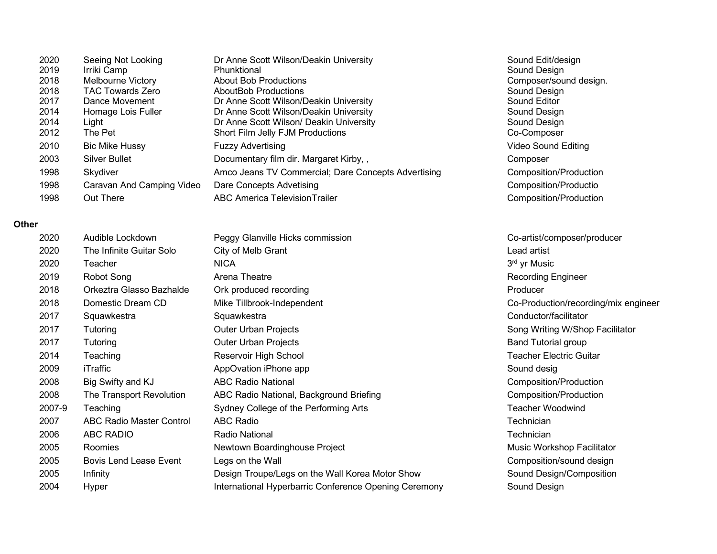| 2020 | Seeing Not Looking        | Dr Anne Scott Wilson/Deakin University              | Sound Edit/design      |
|------|---------------------------|-----------------------------------------------------|------------------------|
| 2019 | Irriki Camp               | Phunktional                                         | Sound Design           |
| 2018 | Melbourne Victory         | <b>About Bob Productions</b>                        | Composer/sound design. |
| 2018 | <b>TAC Towards Zero</b>   | <b>AboutBob Productions</b>                         | Sound Design           |
| 2017 | Dance Movement            | Dr Anne Scott Wilson/Deakin University              | Sound Editor           |
| 2014 | Homage Lois Fuller        | Dr Anne Scott Wilson/Deakin University              | Sound Design           |
| 2014 | Light                     | Dr Anne Scott Wilson/ Deakin University             | Sound Design           |
| 2012 | The Pet                   | Short Film Jelly FJM Productions                    | Co-Composer            |
| 2010 | <b>Bic Mike Hussy</b>     | <b>Fuzzy Advertising</b>                            | Video Sound Editing    |
| 2003 | <b>Silver Bullet</b>      | Documentary film dir. Margaret Kirby,,              | Composer               |
| 1998 | Skydiver                  | Amco Jeans TV Commercial; Dare Concepts Advertising | Composition/Production |
| 1998 | Caravan And Camping Video | Dare Concepts Advetising                            | Composition/Productio  |
| 1998 | Out There                 | <b>ABC America Television Trailer</b>               | Composition/Production |

## **Other**

| 2020   | Audible Lockdown              | Peggy Glanville Hicks commission                      | Co-artist/composer/producer          |
|--------|-------------------------------|-------------------------------------------------------|--------------------------------------|
| 2020   | The Infinite Guitar Solo      | City of Melb Grant                                    | Lead artist                          |
| 2020   | Teacher                       | <b>NICA</b>                                           | 3 <sup>rd</sup> yr Music             |
| 2019   | Robot Song                    | Arena Theatre                                         | <b>Recording Engineer</b>            |
| 2018   | Orkeztra Glasso Bazhalde      | Ork produced recording                                | Producer                             |
| 2018   | Domestic Dream CD             | Mike Tillbrook-Independent                            | Co-Production/recording/mix engineer |
| 2017   | Squawkestra                   | Squawkestra                                           | Conductor/facilitator                |
| 2017   | Tutoring                      | <b>Outer Urban Projects</b>                           | Song Writing W/Shop Facilitator      |
| 2017   | Tutoring                      | <b>Outer Urban Projects</b>                           | <b>Band Tutorial group</b>           |
| 2014   | Teaching                      | Reservoir High School                                 | <b>Teacher Electric Guitar</b>       |
| 2009   | iTraffic                      | AppOvation iPhone app                                 | Sound desig                          |
| 2008   | Big Swifty and KJ             | <b>ABC Radio National</b>                             | Composition/Production               |
| 2008   | The Transport Revolution      | ABC Radio National, Background Briefing               | Composition/Production               |
| 2007-9 | Teaching                      | Sydney College of the Performing Arts                 | <b>Teacher Woodwind</b>              |
| 2007   | ABC Radio Master Control      | <b>ABC Radio</b>                                      | Technician                           |
| 2006   | <b>ABC RADIO</b>              | <b>Radio National</b>                                 | Technician                           |
| 2005   | Roomies                       | Newtown Boardinghouse Project                         | Music Workshop Facilitator           |
| 2005   | <b>Bovis Lend Lease Event</b> | Legs on the Wall                                      | Composition/sound design             |
| 2005   | Infinity                      | Design Troupe/Legs on the Wall Korea Motor Show       | Sound Design/Composition             |
| 2004   | Hyper                         | International Hyperbarric Conference Opening Ceremony | Sound Design                         |
|        |                               |                                                       |                                      |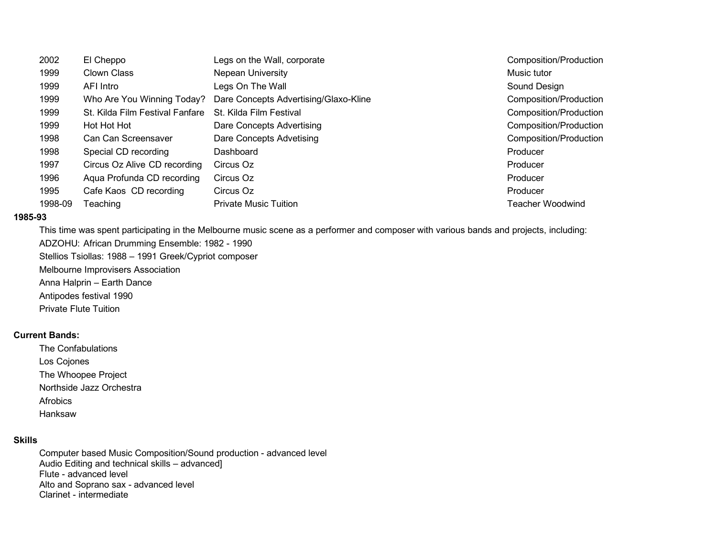| 2002    | El Cheppo                       | Legs on the Wall, corporate           | Composition/Production |
|---------|---------------------------------|---------------------------------------|------------------------|
| 1999    | Clown Class                     | Nepean University                     | Music tutor            |
| 1999    | AFI Intro                       | Legs On The Wall                      | Sound Design           |
| 1999    | Who Are You Winning Today?      | Dare Concepts Advertising/Glaxo-Kline | Composition/Production |
| 1999    | St. Kilda Film Festival Fanfare | St. Kilda Film Festival               | Composition/Production |
| 1999    | Hot Hot Hot                     | Dare Concepts Advertising             | Composition/Production |
| 1998    | Can Can Screensaver             | Dare Concepts Advetising              | Composition/Production |
| 1998    | Special CD recording            | Dashboard                             | Producer               |
| 1997    | Circus Oz Alive CD recording    | Circus Oz                             | Producer               |
| 1996    | Agua Profunda CD recording      | Circus Oz                             | Producer               |
| 1995    | Cafe Kaos CD recording          | Circus Oz                             | Producer               |
| 1998-09 | Teaching                        | <b>Private Music Tuition</b>          | Teacher Woodwind       |

#### **1985-93**

This time was spent participating in the Melbourne music scene as a performer and composer with various bands and projects, including:

ADZOHU: African Drumming Ensemble: 1982 - 1990

Stellios Tsiollas: 1988 – 1991 Greek/Cypriot composer

Melbourne Improvisers Association

Anna Halprin – Earth Dance

Antipodes festival 1990

Private Flute Tuition

#### **Current Bands:**

The Confabulations Los Cojones The Whoopee Project Northside Jazz Orchestra Afrobics

Hanksaw

### **Skills**

Computer based Music Composition/Sound production - advanced level Audio Editing and technical skills – advanced] Flute - advanced level Alto and Soprano sax - advanced level Clarinet - intermediate